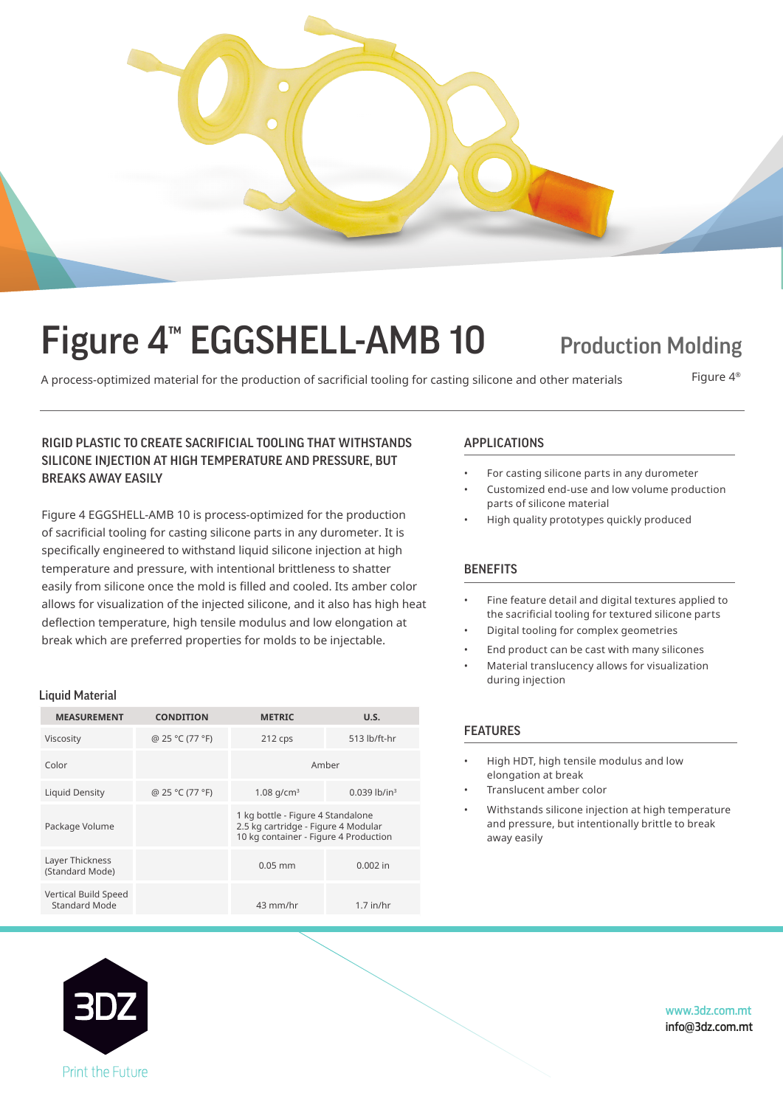

# Figure 4<sup>™</sup> EGGSHELL-AMB 10 Production Molding

A process-optimized material for the production of sacrificial tooling for casting silicone and other materials Figure 4<sup>®</sup>

# RIGID PLASTIC TO CREATE SACRIFICIAL TOOLING THAT WITHSTANDS APPLICATIONS SILICONE INJECTION AT HIGH TEMPERATURE AND PRESSURE, BUT BREAKS AWAY EASILY

Figure 4 EGGSHELL-AMB 10 is process-optimized for the production of sacrificial tooling for casting silicone parts in any durometer. It is specifically engineered to withstand liquid silicone injection at high temperature and pressure, with intentional brittleness to shatter easily from silicone once the mold is filled and cooled. Its amber color allows for visualization of the injected silicone, and it also has high heat deflection temperature, high tensile modulus and low elongation at break which are preferred properties for molds to be injectable.

# Liquid Material

| <b>MEASUREMENT</b>                    | <b>CONDITION</b> | <b>METRIC</b>                                                                                                     | U.S.                       |  |
|---------------------------------------|------------------|-------------------------------------------------------------------------------------------------------------------|----------------------------|--|
| Viscosity                             | @ 25 °C (77 °F)  | $212$ cps                                                                                                         | 513 lb/ft-hr               |  |
| Color                                 |                  | Amber                                                                                                             |                            |  |
| Liquid Density                        | @ 25 °C (77 °F)  | 1.08 $q/cm^3$                                                                                                     | $0.039$ lb/in <sup>3</sup> |  |
| Package Volume                        |                  | 1 kg bottle - Figure 4 Standalone<br>2.5 kg cartridge - Figure 4 Modular<br>10 kg container - Figure 4 Production |                            |  |
| Layer Thickness<br>(Standard Mode)    |                  | $0.05$ mm                                                                                                         | $0.002$ in                 |  |
| Vertical Build Speed<br>Standard Mode |                  | 43 mm/hr                                                                                                          | $1.7$ in/hr                |  |

- For casting silicone parts in any durometer
- Customized end-use and low volume production parts of silicone material
- High quality prototypes quickly produced

# **BENEFITS**

- Fine feature detail and digital textures applied to the sacrificial tooling for textured silicone parts
- Digital tooling for complex geometries
- End product can be cast with many silicones
- Material translucency allows for visualization during injection

# FEATURES

- High HDT, high tensile modulus and low elongation at break
- Translucent amber color
- Withstands silicone injection at high temperature and pressure, but intentionally brittle to break away easily



www.3dz.com.mt info@3dz.com.mt